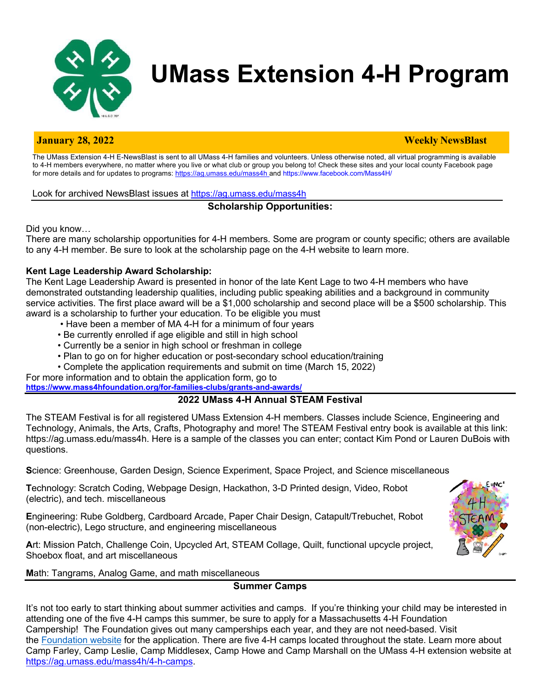

# **UMass Extension 4-H Program**

#### **January 28, 2022 Weekly NewsBlast**

The UMass Extension 4-H E-NewsBlast is sent to all UMass 4-H families and volunteers. Unless otherwise noted, all virtual programming is available to 4-H members everywhere, no matter where you live or what club or group you belong to! Check these sites and your local county Facebook page for more details and for updates to programs: https://ag.umass.edu/mass4h and https://www.facebook.com/Mass4H/

Look for archived NewsBlast issues at https://ag.umass.edu/mass4h

# **Scholarship Opportunities:**

Did you know…

There are many scholarship opportunities for 4-H members. Some are program or county specific; others are available to any 4-H member. Be sure to look at the scholarship page on the 4-H website to learn more.

# **Kent Lage Leadership Award Scholarship:**

The Kent Lage Leadership Award is presented in honor of the late Kent Lage to two 4-H members who have demonstrated outstanding leadership qualities, including public speaking abilities and a background in community service activities. The first place award will be a \$1,000 scholarship and second place will be a \$500 scholarship. This award is a scholarship to further your education. To be eligible you must

- Have been a member of MA 4-H for a minimum of four years
- Be currently enrolled if age eligible and still in high school
- Currently be a senior in high school or freshman in college
- Plan to go on for higher education or post-secondary school education/training
- Complete the application requirements and submit on time (March 15, 2022)

For more information and to obtain the application form, go to **https://www.mass4hfoundation.org/for-families-clubs/grants-and-awards/**

# **2022 UMass 4-H Annual STEAM Festival**

The STEAM Festival is for all registered UMass Extension 4-H members. Classes include Science, Engineering and Technology, Animals, the Arts, Crafts, Photography and more! The STEAM Festival entry book is available at this link: https://ag.umass.edu/mass4h. Here is a sample of the classes you can enter; contact Kim Pond or Lauren DuBois with questions.

**S**cience: Greenhouse, Garden Design, Science Experiment, Space Project, and Science miscellaneous

**T**echnology: Scratch Coding, Webpage Design, Hackathon, 3-D Printed design, Video, Robot (electric), and tech. miscellaneous

**E**ngineering: Rube Goldberg, Cardboard Arcade, Paper Chair Design, Catapult/Trebuchet, Robot (non-electric), Lego structure, and engineering miscellaneous

**A**rt: Mission Patch, Challenge Coin, Upcycled Art, STEAM Collage, Quilt, functional upcycle project, Shoebox float, and art miscellaneous



**M**ath: Tangrams, Analog Game, and math miscellaneous

# **Summer Camps**

It's not too early to start thinking about summer activities and camps. If you're thinking your child may be interested in attending one of the five 4-H camps this summer, be sure to apply for a Massachusetts 4-H Foundation Campership! The Foundation gives out many camperships each year, and they are not need-based. Visit the Foundation website for the application. There are five 4-H camps located throughout the state. Learn more about Camp Farley, Camp Leslie, Camp Middlesex, Camp Howe and Camp Marshall on the UMass 4-H extension website at https://ag.umass.edu/mass4h/4-h-camps.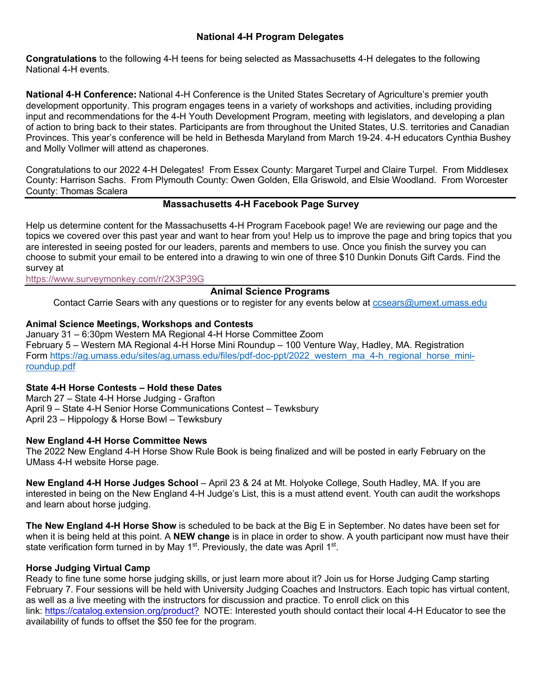# **National 4-H Program Delegates**

**Congratulations** to the following 4-H teens for being selected as Massachusetts 4-H delegates to the following National 4-H events.

**National 4-H Conference:** National 4-H Conference is the United States Secretary of Agriculture's premier youth development opportunity. This program engages teens in a variety of workshops and activities, including providing input and recommendations for the 4-H Youth Development Program, meeting with legislators, and developing a plan of action to bring back to their states. Participants are from throughout the United States, U.S. territories and Canadian Provinces. This year's conference will be held in Bethesda Maryland from March 19-24. 4-H educators Cynthia Bushey and Molly Vollmer will attend as chaperones.

Congratulations to our 2022 4-H Delegates! From Essex County: Margaret Turpel and Claire Turpel. From Middlesex County: Harrison Sachs. From Plymouth County: Owen Golden, Ella Griswold, and Elsie Woodland. From Worcester County: Thomas Scalera

### **Massachusetts 4-H Facebook Page Survey**

Help us determine content for the Massachusetts 4-H Program Facebook page! We are reviewing our page and the topics we covered over this past year and want to hear from you! Help us to improve the page and bring topics that you are interested in seeing posted for our leaders, parents and members to use. Once you finish the survey you can choose to submit your email to be entered into a drawing to win one of three \$10 Dunkin Donuts Gift Cards. Find the survey at

https://www.surveymonkey.com/r/2X3P39G

# **Animal Science Programs**

Contact Carrie Sears with any questions or to register for any events below at ccsears@umext.umass.edu

### **Animal Science Meetings, Workshops and Contests**

January 31 – 6:30pm Western MA Regional 4-H Horse Committee Zoom February 5 – Western MA Regional 4-H Horse Mini Roundup – 100 Venture Way, Hadley, MA. Registration Form https://ag.umass.edu/sites/ag.umass.edu/files/pdf-doc-ppt/2022\_western\_ma\_4-h\_regional\_horse\_miniroundup.pdf

#### **State 4-H Horse Contests – Hold these Dates**

March 27 – State 4-H Horse Judging - Grafton April 9 – State 4-H Senior Horse Communications Contest – Tewksbury April 23 – Hippology & Horse Bowl – Tewksbury

#### **New England 4-H Horse Committee News**

The 2022 New England 4-H Horse Show Rule Book is being finalized and will be posted in early February on the UMass 4-H website Horse page.

**New England 4-H Horse Judges School** – April 23 & 24 at Mt. Holyoke College, South Hadley, MA. If you are interested in being on the New England 4-H Judge's List, this is a must attend event. Youth can audit the workshops and learn about horse judging.

**The New England 4-H Horse Show** is scheduled to be back at the Big E in September. No dates have been set for when it is being held at this point. A **NEW change** is in place in order to show. A youth participant now must have their state verification form turned in by May 1<sup>st</sup>. Previously, the date was April 1<sup>st</sup>.

#### **Horse Judging Virtual Camp**

Ready to fine tune some horse judging skills, or just learn more about it? Join us for Horse Judging Camp starting February 7. Four sessions will be held with University Judging Coaches and Instructors. Each topic has virtual content, as well as a live meeting with the instructors for discussion and practice. To enroll click on this link: https://catalog.extension.org/product? NOTE: Interested youth should contact their local 4-H Educator to see the availability of funds to offset the \$50 fee for the program.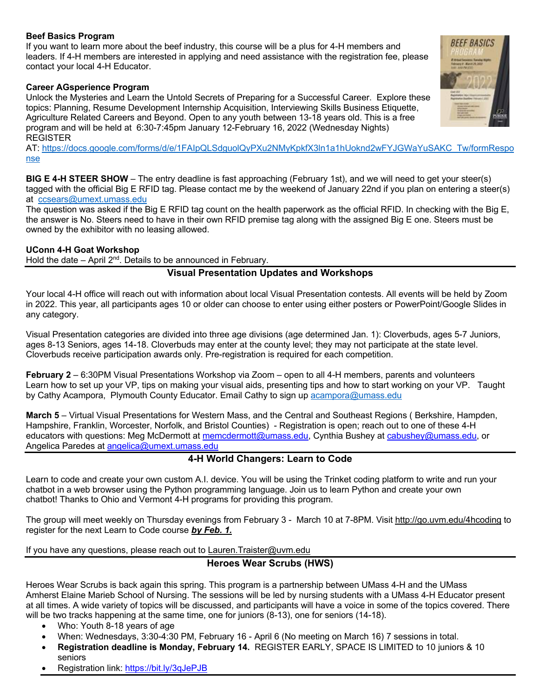#### **Beef Basics Program**

If you want to learn more about the beef industry, this course will be a plus for 4-H members and leaders. If 4-H members are interested in applying and need assistance with the registration fee, please contact your local 4-H Educator.

#### **Career AGsperience Program**

Unlock the Mysteries and Learn the Untold Secrets of Preparing for a Successful Career. Explore these topics: Planning, Resume Development Internship Acquisition, Interviewing Skills Business Etiquette, Agriculture Related Careers and Beyond. Open to any youth between 13-18 years old. This is a free program and will be held at 6:30-7:45pm January 12-February 16, 2022 (Wednesday Nights) REGISTER

AT: https://docs.google.com/forms/d/e/1FAIpQLSdguolQyPXu2NMyKpkfX3ln1a1hUoknd2wFYJGWaYuSAKC\_Tw/formRespo nse

**BIG E 4-H STEER SHOW** – The entry deadline is fast approaching (February 1st), and we will need to get your steer(s) tagged with the official Big E RFID tag. Please contact me by the weekend of January 22nd if you plan on entering a steer(s) at ccsears@umext.umass.edu

The question was asked if the Big E RFID tag count on the health paperwork as the official RFID. In checking with the Big E, the answer is No. Steers need to have in their own RFID premise tag along with the assigned Big E one. Steers must be owned by the exhibitor with no leasing allowed.

#### **UConn 4-H Goat Workshop**

Hold the date – April  $2^{nd}$ . Details to be announced in February.

# **Visual Presentation Updates and Workshops**

Your local 4-H office will reach out with information about local Visual Presentation contests. All events will be held by Zoom in 2022. This year, all participants ages 10 or older can choose to enter using either posters or PowerPoint/Google Slides in any category.

Visual Presentation categories are divided into three age divisions (age determined Jan. 1): Cloverbuds, ages 5-7 Juniors, ages 8-13 Seniors, ages 14-18. Cloverbuds may enter at the county level; they may not participate at the state level. Cloverbuds receive participation awards only. Pre-registration is required for each competition.

**February 2** – 6:30PM Visual Presentations Workshop via Zoom – open to all 4-H members, parents and volunteers Learn how to set up your VP, tips on making your visual aids, presenting tips and how to start working on your VP. Taught by Cathy Acampora, Plymouth County Educator. Email Cathy to sign up acampora@umass.edu

**March 5** – Virtual Visual Presentations for Western Mass, and the Central and Southeast Regions ( Berkshire, Hampden, Hampshire, Franklin, Worcester, Norfolk, and Bristol Counties) - Registration is open; reach out to one of these 4-H educators with questions: Meg McDermott at memcdermott@umass.edu, Cynthia Bushey at cabushey@umass.edu, or Angelica Paredes at angelica@umext.umass.edu

# **4-H World Changers: Learn to Code**

Learn to code and create your own custom A.I. device. You will be using the Trinket coding platform to write and run your chatbot in a web browser using the Python programming language. Join us to learn Python and create your own chatbot! Thanks to Ohio and Vermont 4-H programs for providing this program.

The group will meet weekly on Thursday evenings from February 3 - March 10 at 7-8PM. Visit http://go.uvm.edu/4hcoding to register for the next Learn to Code course *by Feb. 1.*

If you have any questions, please reach out to Lauren.Traister@uvm.edu

#### **Heroes Wear Scrubs (HWS)**

Heroes Wear Scrubs is back again this spring. This program is a partnership between UMass 4-H and the UMass Amherst Elaine Marieb School of Nursing. The sessions will be led by nursing students with a UMass 4-H Educator present at all times. A wide variety of topics will be discussed, and participants will have a voice in some of the topics covered. There will be two tracks happening at the same time, one for juniors (8-13), one for seniors (14-18).

- Who: Youth 8-18 years of age
- When: Wednesdays, 3:30-4:30 PM, February 16 April 6 (No meeting on March 16) 7 sessions in total.
- **Registration deadline is Monday, February 14.** REGISTER EARLY, SPACE IS LIMITED to 10 juniors & 10 seniors
- Registration link: https://bit.ly/3qJePJB

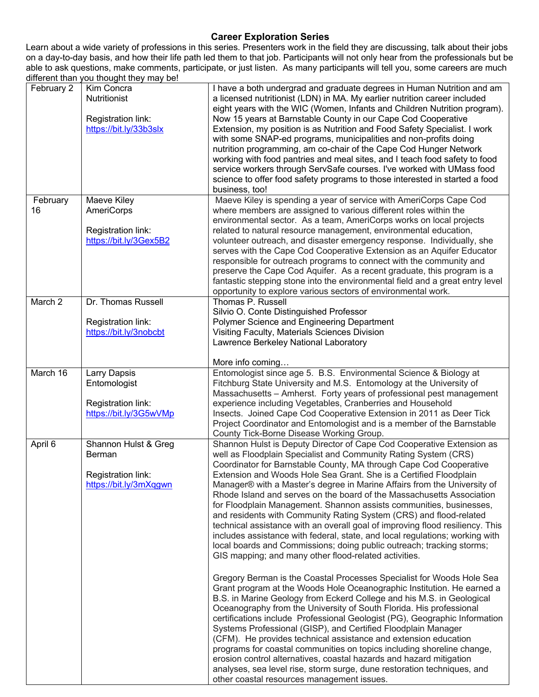# **Career Exploration Series**

Learn about a wide variety of professions in this series. Presenters work in the field they are discussing, talk about their jobs on a day-to-day basis, and how their life path led them to that job. Participants will not only hear from the professionals but be able to ask questions, make comments, participate, or just listen. As many participants will tell you, some careers are much different than you thought they may be!

| February 2         | Kim Concra<br><b>Nutritionist</b><br>Registration link:<br>https://bit.ly/33b3slx | I have a both undergrad and graduate degrees in Human Nutrition and am<br>a licensed nutritionist (LDN) in MA. My earlier nutrition career included<br>eight years with the WIC (Women, Infants and Children Nutrition program).<br>Now 15 years at Barnstable County in our Cape Cod Cooperative<br>Extension, my position is as Nutrition and Food Safety Specialist. I work<br>with some SNAP-ed programs, municipalities and non-profits doing<br>nutrition programming, am co-chair of the Cape Cod Hunger Network<br>working with food pantries and meal sites, and I teach food safety to food<br>service workers through ServSafe courses. I've worked with UMass food<br>science to offer food safety programs to those interested in started a food<br>business, too!                                                                                                                                                                                                                                                                                                                                                                                                                                                                                                                                                                                                                                                                                                                                                                                                                                                                                                         |
|--------------------|-----------------------------------------------------------------------------------|-----------------------------------------------------------------------------------------------------------------------------------------------------------------------------------------------------------------------------------------------------------------------------------------------------------------------------------------------------------------------------------------------------------------------------------------------------------------------------------------------------------------------------------------------------------------------------------------------------------------------------------------------------------------------------------------------------------------------------------------------------------------------------------------------------------------------------------------------------------------------------------------------------------------------------------------------------------------------------------------------------------------------------------------------------------------------------------------------------------------------------------------------------------------------------------------------------------------------------------------------------------------------------------------------------------------------------------------------------------------------------------------------------------------------------------------------------------------------------------------------------------------------------------------------------------------------------------------------------------------------------------------------------------------------------------------|
| February<br>16     | Maeve Kiley<br><b>AmeriCorps</b><br>Registration link:<br>https://bit.ly/3Gex5B2  | Maeve Kiley is spending a year of service with AmeriCorps Cape Cod<br>where members are assigned to various different roles within the<br>environmental sector. As a team, AmeriCorps works on local projects<br>related to natural resource management, environmental education,<br>volunteer outreach, and disaster emergency response. Individually, she<br>serves with the Cape Cod Cooperative Extension as an Aquifer Educator<br>responsible for outreach programs to connect with the community and<br>preserve the Cape Cod Aquifer. As a recent graduate, this program is a<br>fantastic stepping stone into the environmental field and a great entry level<br>opportunity to explore various sectors of environmental work.                                                                                                                                                                                                                                                                                                                                                                                                                                                                                                                                                                                                                                                                                                                                                                                                                                                                                                                                                 |
| March <sub>2</sub> | Dr. Thomas Russell<br>Registration link:<br>https://bit.ly/3nobcbt                | Thomas P. Russell<br>Silvio O. Conte Distinguished Professor<br>Polymer Science and Engineering Department<br>Visiting Faculty, Materials Sciences Division<br>Lawrence Berkeley National Laboratory<br>More info coming                                                                                                                                                                                                                                                                                                                                                                                                                                                                                                                                                                                                                                                                                                                                                                                                                                                                                                                                                                                                                                                                                                                                                                                                                                                                                                                                                                                                                                                                |
| March 16           | Larry Dapsis<br>Entomologist<br>Registration link:<br>https://bit.ly/3G5wVMp      | Entomologist since age 5. B.S. Environmental Science & Biology at<br>Fitchburg State University and M.S. Entomology at the University of<br>Massachusetts - Amherst. Forty years of professional pest management<br>experience including Vegetables, Cranberries and Household<br>Insects. Joined Cape Cod Cooperative Extension in 2011 as Deer Tick<br>Project Coordinator and Entomologist and is a member of the Barnstable<br>County Tick-Borne Disease Working Group.                                                                                                                                                                                                                                                                                                                                                                                                                                                                                                                                                                                                                                                                                                                                                                                                                                                                                                                                                                                                                                                                                                                                                                                                             |
| April 6            | Shannon Hulst & Greg<br>Berman<br>Registration link:<br>https://bit.ly/3mXqgwn    | Shannon Hulst is Deputy Director of Cape Cod Cooperative Extension as<br>well as Floodplain Specialist and Community Rating System (CRS)<br>Coordinator for Barnstable County, MA through Cape Cod Cooperative<br>Extension and Woods Hole Sea Grant. She is a Certified Floodplain<br>Manager® with a Master's degree in Marine Affairs from the University of<br>Rhode Island and serves on the board of the Massachusetts Association<br>for Floodplain Management. Shannon assists communities, businesses,<br>and residents with Community Rating System (CRS) and flood-related<br>technical assistance with an overall goal of improving flood resiliency. This<br>includes assistance with federal, state, and local regulations; working with<br>local boards and Commissions; doing public outreach; tracking storms;<br>GIS mapping; and many other flood-related activities.<br>Gregory Berman is the Coastal Processes Specialist for Woods Hole Sea<br>Grant program at the Woods Hole Oceanographic Institution. He earned a<br>B.S. in Marine Geology from Eckerd College and his M.S. in Geological<br>Oceanography from the University of South Florida. His professional<br>certifications include Professional Geologist (PG), Geographic Information<br>Systems Professional (GISP), and Certified Floodplain Manager<br>(CFM). He provides technical assistance and extension education<br>programs for coastal communities on topics including shoreline change,<br>erosion control alternatives, coastal hazards and hazard mitigation<br>analyses, sea level rise, storm surge, dune restoration techniques, and<br>other coastal resources management issues. |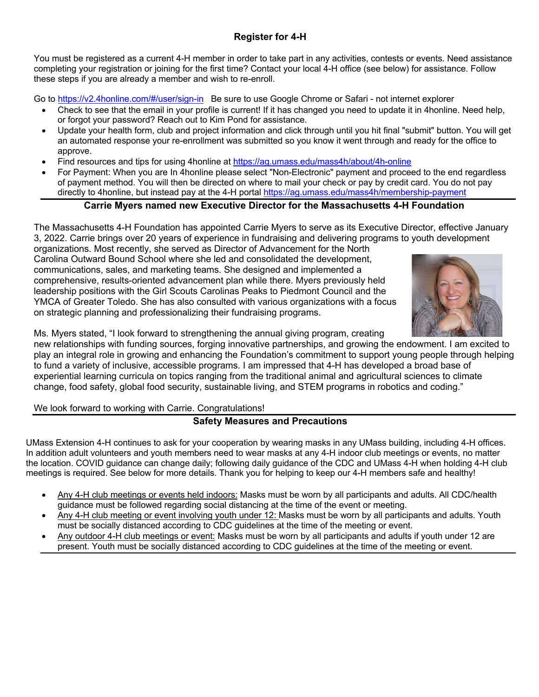You must be registered as a current 4-H member in order to take part in any activities, contests or events. Need assistance completing your registration or joining for the first time? Contact your local 4-H office (see below) for assistance. Follow these steps if you are already a member and wish to re-enroll.

Go to https://v2.4honline.com/#/user/sign-in Be sure to use Google Chrome or Safari - not internet explorer

- Check to see that the email in your profile is current! If it has changed you need to update it in 4honline. Need help, or forgot your password? Reach out to Kim Pond for assistance.
- Update your health form, club and project information and click through until you hit final "submit" button. You will get an automated response your re-enrollment was submitted so you know it went through and ready for the office to approve.
- Find resources and tips for using 4honline at https://ag.umass.edu/mass4h/about/4h-online
- For Payment: When you are In 4honline please select "Non-Electronic" payment and proceed to the end regardless of payment method. You will then be directed on where to mail your check or pay by credit card. You do not pay directly to 4honline, but instead pay at the 4-H portal https://ag.umass.edu/mass4h/membership-payment

# **Carrie Myers named new Executive Director for the Massachusetts 4-H Foundation**

The Massachusetts 4-H Foundation has appointed Carrie Myers to serve as its Executive Director, effective January 3, 2022. Carrie brings over 20 years of experience in fundraising and delivering programs to youth development

organizations. Most recently, she served as Director of Advancement for the North Carolina Outward Bound School where she led and consolidated the development, communications, sales, and marketing teams. She designed and implemented a comprehensive, results-oriented advancement plan while there. Myers previously held leadership positions with the Girl Scouts Carolinas Peaks to Piedmont Council and the YMCA of Greater Toledo. She has also consulted with various organizations with a focus on strategic planning and professionalizing their fundraising programs.



Ms. Myers stated, "I look forward to strengthening the annual giving program, creating

new relationships with funding sources, forging innovative partnerships, and growing the endowment. I am excited to play an integral role in growing and enhancing the Foundation's commitment to support young people through helping to fund a variety of inclusive, accessible programs. I am impressed that 4-H has developed a broad base of experiential learning curricula on topics ranging from the traditional animal and agricultural sciences to climate change, food safety, global food security, sustainable living, and STEM programs in robotics and coding."

We look forward to working with Carrie. Congratulations!

# **Safety Measures and Precautions**

UMass Extension 4-H continues to ask for your cooperation by wearing masks in any UMass building, including 4-H offices. In addition adult volunteers and youth members need to wear masks at any 4-H indoor club meetings or events, no matter the location. COVID guidance can change daily; following daily guidance of the CDC and UMass 4-H when holding 4-H club meetings is required. See below for more details. Thank you for helping to keep our 4-H members safe and healthy!

- Any 4-H club meetings or events held indoors: Masks must be worn by all participants and adults. All CDC/health guidance must be followed regarding social distancing at the time of the event or meeting.
- Any 4-H club meeting or event involving youth under 12: Masks must be worn by all participants and adults. Youth must be socially distanced according to CDC guidelines at the time of the meeting or event.
- Any outdoor 4-H club meetings or event: Masks must be worn by all participants and adults if youth under 12 are present. Youth must be socially distanced according to CDC guidelines at the time of the meeting or event.